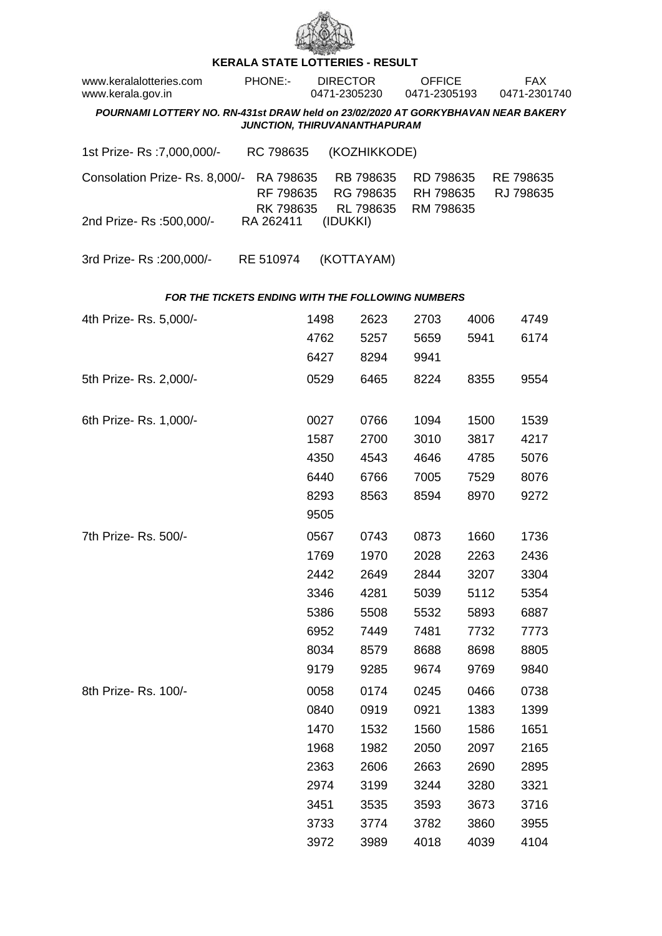

## **KERALA STATE LOTTERIES - RESULT**

| www.keralalotteries.com<br>www.kerala.gov.in                                                                     |  | PHONE:-                             | <b>DIRECTOR</b><br>0471-2305230 |          |                                     | <b>OFFICE</b><br>0471-2305193 |                                     |      | <b>FAX</b><br>0471-2301740 |                        |  |  |
|------------------------------------------------------------------------------------------------------------------|--|-------------------------------------|---------------------------------|----------|-------------------------------------|-------------------------------|-------------------------------------|------|----------------------------|------------------------|--|--|
| POURNAMI LOTTERY NO. RN-431st DRAW held on 23/02/2020 AT GORKYBHAVAN NEAR BAKERY<br>JUNCTION, THIRUVANANTHAPURAM |  |                                     |                                 |          |                                     |                               |                                     |      |                            |                        |  |  |
|                                                                                                                  |  |                                     |                                 |          |                                     |                               |                                     |      |                            |                        |  |  |
| 1st Prize-Rs : 7,000,000/-                                                                                       |  | RC 798635                           |                                 |          | (KOZHIKKODE)                        |                               |                                     |      |                            |                        |  |  |
| Consolation Prize-Rs. 8,000/-                                                                                    |  | RA 798635<br>RF 798635<br>RK 798635 |                                 |          | RB 798635<br>RG 798635<br>RL 798635 |                               | RD 798635<br>RH 798635<br>RM 798635 |      |                            | RE 798635<br>RJ 798635 |  |  |
| 2nd Prize-Rs : 500,000/-                                                                                         |  | RA 262411                           |                                 | (IDUKKI) |                                     |                               |                                     |      |                            |                        |  |  |
| 3rd Prize-Rs : 200,000/-                                                                                         |  | RE 510974                           |                                 |          | (KOTTAYAM)                          |                               |                                     |      |                            |                        |  |  |
| <b>FOR THE TICKETS ENDING WITH THE FOLLOWING NUMBERS</b>                                                         |  |                                     |                                 |          |                                     |                               |                                     |      |                            |                        |  |  |
| 4th Prize-Rs. 5,000/-                                                                                            |  |                                     | 1498                            |          | 2623                                |                               | 2703                                | 4006 |                            | 4749                   |  |  |
|                                                                                                                  |  |                                     | 4762                            |          | 5257                                |                               | 5659                                | 5941 |                            | 6174                   |  |  |
|                                                                                                                  |  |                                     | 6427                            |          | 8294                                |                               | 9941                                |      |                            |                        |  |  |
| 5th Prize-Rs. 2,000/-                                                                                            |  |                                     | 0529                            |          | 6465                                |                               | 8224                                | 8355 |                            | 9554                   |  |  |
| 6th Prize-Rs. 1,000/-                                                                                            |  |                                     | 0027                            |          | 0766                                |                               | 1094                                | 1500 |                            | 1539                   |  |  |
|                                                                                                                  |  |                                     | 1587                            |          | 2700                                |                               | 3010                                | 3817 |                            | 4217                   |  |  |
|                                                                                                                  |  |                                     | 4350                            |          | 4543                                |                               | 4646                                | 4785 |                            | 5076                   |  |  |
|                                                                                                                  |  |                                     | 6440                            |          | 6766                                |                               | 7005                                | 7529 |                            | 8076                   |  |  |
|                                                                                                                  |  |                                     | 8293                            |          | 8563                                |                               | 8594                                | 8970 |                            | 9272                   |  |  |
|                                                                                                                  |  |                                     | 9505                            |          |                                     |                               |                                     |      |                            |                        |  |  |
| 7th Prize-Rs. 500/-                                                                                              |  |                                     | 0567                            |          | 0743                                |                               | 0873                                | 1660 |                            | 1736                   |  |  |
|                                                                                                                  |  |                                     | 1769                            |          | 1970                                |                               | 2028                                | 2263 |                            | 2436                   |  |  |
|                                                                                                                  |  |                                     | 2442                            |          | 2649                                |                               | 2844                                | 3207 |                            | 3304                   |  |  |
|                                                                                                                  |  |                                     | 3346                            |          | 4281                                |                               | 5039                                | 5112 |                            | 5354                   |  |  |
|                                                                                                                  |  |                                     | 5386                            |          | 5508                                |                               | 5532                                | 5893 |                            | 6887                   |  |  |
|                                                                                                                  |  |                                     | 6952                            |          | 7449                                |                               | 7481                                | 7732 |                            | 7773                   |  |  |
|                                                                                                                  |  |                                     | 8034                            |          | 8579                                |                               | 8688                                | 8698 |                            | 8805                   |  |  |
|                                                                                                                  |  |                                     | 9179                            |          | 9285                                |                               | 9674                                | 9769 |                            | 9840                   |  |  |
| 8th Prize-Rs. 100/-                                                                                              |  |                                     | 0058                            |          | 0174                                |                               | 0245                                | 0466 |                            | 0738                   |  |  |
|                                                                                                                  |  |                                     | 0840                            |          | 0919                                |                               | 0921                                | 1383 |                            | 1399                   |  |  |
|                                                                                                                  |  |                                     | 1470                            |          | 1532                                |                               | 1560                                | 1586 |                            | 1651                   |  |  |
|                                                                                                                  |  |                                     | 1968                            |          | 1982                                |                               | 2050                                | 2097 |                            | 2165                   |  |  |
|                                                                                                                  |  |                                     | 2363                            |          | 2606                                |                               | 2663                                | 2690 |                            | 2895                   |  |  |
|                                                                                                                  |  |                                     | 2974                            |          | 3199                                |                               | 3244                                | 3280 |                            | 3321                   |  |  |
|                                                                                                                  |  |                                     | 3451                            |          | 3535                                |                               | 3593                                | 3673 |                            | 3716                   |  |  |
|                                                                                                                  |  |                                     | 3733                            |          | 3774                                |                               | 3782                                | 3860 |                            | 3955                   |  |  |
|                                                                                                                  |  |                                     | 3972                            |          | 3989                                |                               | 4018                                | 4039 |                            | 4104                   |  |  |